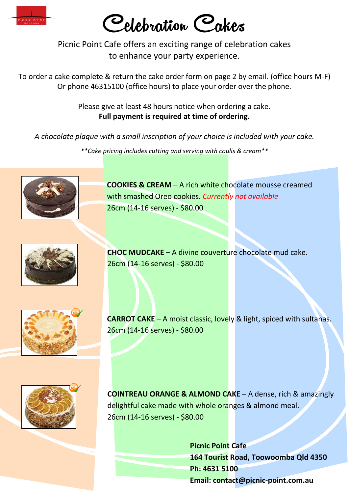

Celebration Cakes

Picnic Point Cafe offers an exciting range of celebration cakes to enhance your party experience.

To order a cake complete & return the cake order form on page 2 by email. (office hours M-F) Or phone 46315100 (office hours) to place your order over the phone.

> Please give at least 48 hours notice when ordering a cake. **Full payment is required at time of ordering.**

*A chocolate plaque with a small inscription of your choice is included with your cake.*

*\*\*Cake pricing includes cutting and serving with coulis & cream\*\**



**COOKIES & CREAM** – A rich white chocolate mousse creamed with smashed Oreo cookies. *Currently not available* 26cm (14-16 serves) - \$80.00



**CHOC MUDCAKE** – A divine couverture chocolate mud cake. 26cm (14-16 serves) - \$80.00



**CARROT CAKE** – A moist classic, lovely & light, spiced with sultanas. 26cm (14-16 serves) - \$80.00



**COINTREAU ORANGE & ALMOND CAKE** – A dense, rich & amazingly delightful cake made with whole oranges & almond meal. 26cm (14-16 serves) - \$80.00

> **Picnic Point Cafe 164 Tourist Road, Toowoomba Qld 4350 Ph: 4631 5100 Email: contact@picnic-point.com.au**